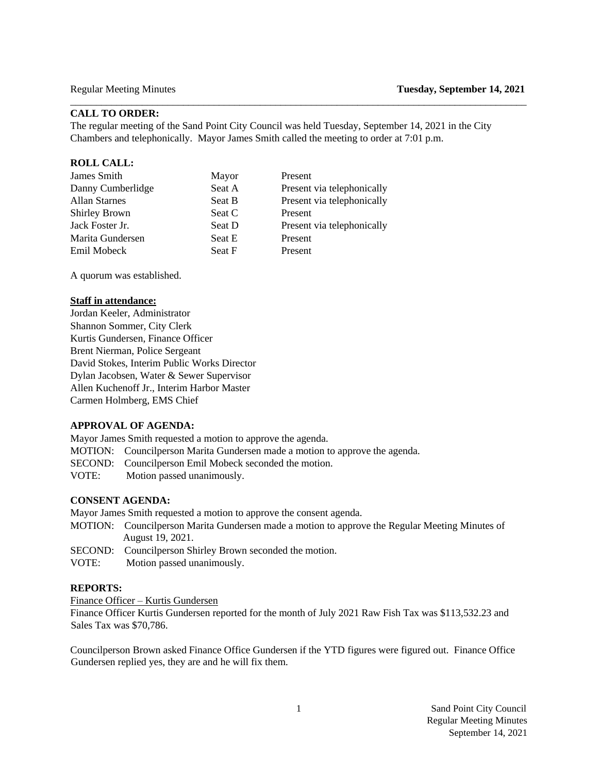# **CALL TO ORDER:**

The regular meeting of the Sand Point City Council was held Tuesday, September 14, 2021 in the City Chambers and telephonically. Mayor James Smith called the meeting to order at 7:01 p.m.

 $\Box$ 

### **ROLL CALL:**

| James Smith          | Mayor  | Present                    |
|----------------------|--------|----------------------------|
| Danny Cumberlidge    | Seat A | Present via telephonically |
| <b>Allan Starnes</b> | Seat B | Present via telephonically |
| <b>Shirley Brown</b> | Seat C | Present                    |
| Jack Foster Jr.      | Seat D | Present via telephonically |
| Marita Gundersen     | Seat E | Present                    |
| Emil Mobeck          | Seat F | Present                    |
|                      |        |                            |

A quorum was established.

### **Staff in attendance:**

Jordan Keeler, Administrator Shannon Sommer, City Clerk Kurtis Gundersen, Finance Officer Brent Nierman, Police Sergeant David Stokes, Interim Public Works Director Dylan Jacobsen, Water & Sewer Supervisor Allen Kuchenoff Jr., Interim Harbor Master Carmen Holmberg, EMS Chief

#### **APPROVAL OF AGENDA:**

Mayor James Smith requested a motion to approve the agenda.

- MOTION: Councilperson Marita Gundersen made a motion to approve the agenda.
- SECOND: Councilperson Emil Mobeck seconded the motion.
- VOTE:Motion passed unanimously.

### **CONSENT AGENDA:**

Mayor James Smith requested a motion to approve the consent agenda.

- MOTION: Councilperson Marita Gundersen made a motion to approve the Regular Meeting Minutes of August 19, 2021.
- SECOND: Councilperson Shirley Brown seconded the motion.
- VOTE:Motion passed unanimously.

### **REPORTS:**

Finance Officer – Kurtis Gundersen

Finance Officer Kurtis Gundersen reported for the month of July 2021 Raw Fish Tax was \$113,532.23 and Sales Tax was \$70,786.

Councilperson Brown asked Finance Office Gundersen if the YTD figures were figured out. Finance Office Gundersen replied yes, they are and he will fix them.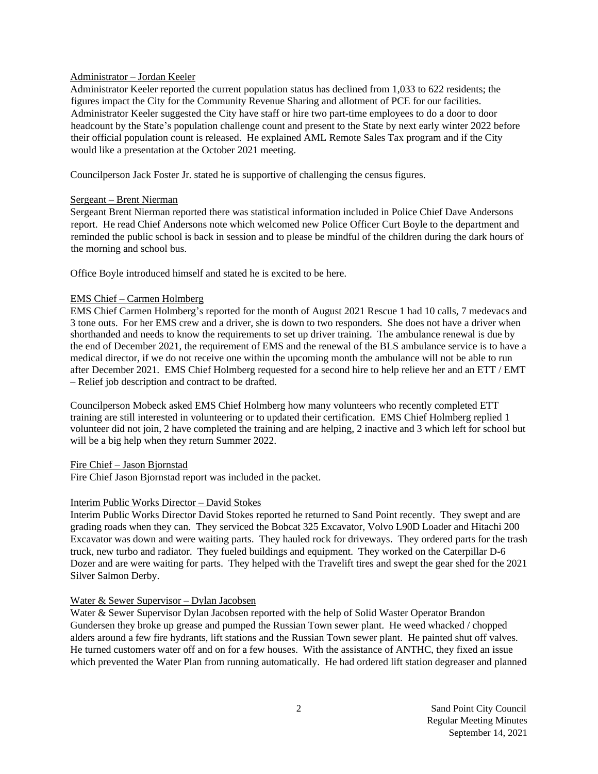### Administrator – Jordan Keeler

Administrator Keeler reported the current population status has declined from 1,033 to 622 residents; the figures impact the City for the Community Revenue Sharing and allotment of PCE for our facilities. Administrator Keeler suggested the City have staff or hire two part-time employees to do a door to door headcount by the State's population challenge count and present to the State by next early winter 2022 before their official population count is released. He explained AML Remote Sales Tax program and if the City would like a presentation at the October 2021 meeting.

Councilperson Jack Foster Jr. stated he is supportive of challenging the census figures.

## Sergeant – Brent Nierman

Sergeant Brent Nierman reported there was statistical information included in Police Chief Dave Andersons report. He read Chief Andersons note which welcomed new Police Officer Curt Boyle to the department and reminded the public school is back in session and to please be mindful of the children during the dark hours of the morning and school bus.

Office Boyle introduced himself and stated he is excited to be here.

## EMS Chief – Carmen Holmberg

EMS Chief Carmen Holmberg's reported for the month of August 2021 Rescue 1 had 10 calls, 7 medevacs and 3 tone outs. For her EMS crew and a driver, she is down to two responders. She does not have a driver when shorthanded and needs to know the requirements to set up driver training. The ambulance renewal is due by the end of December 2021, the requirement of EMS and the renewal of the BLS ambulance service is to have a medical director, if we do not receive one within the upcoming month the ambulance will not be able to run after December 2021. EMS Chief Holmberg requested for a second hire to help relieve her and an ETT / EMT – Relief job description and contract to be drafted.

Councilperson Mobeck asked EMS Chief Holmberg how many volunteers who recently completed ETT training are still interested in volunteering or to updated their certification. EMS Chief Holmberg replied 1 volunteer did not join, 2 have completed the training and are helping, 2 inactive and 3 which left for school but will be a big help when they return Summer 2022.

Fire Chief – Jason Bjornstad

Fire Chief Jason Bjornstad report was included in the packet.

## Interim Public Works Director – David Stokes

Interim Public Works Director David Stokes reported he returned to Sand Point recently. They swept and are grading roads when they can. They serviced the Bobcat 325 Excavator, Volvo L90D Loader and Hitachi 200 Excavator was down and were waiting parts. They hauled rock for driveways. They ordered parts for the trash truck, new turbo and radiator. They fueled buildings and equipment. They worked on the Caterpillar D-6 Dozer and are were waiting for parts. They helped with the Travelift tires and swept the gear shed for the 2021 Silver Salmon Derby.

### Water & Sewer Supervisor – Dylan Jacobsen

Water & Sewer Supervisor Dylan Jacobsen reported with the help of Solid Waster Operator Brandon Gundersen they broke up grease and pumped the Russian Town sewer plant. He weed whacked / chopped alders around a few fire hydrants, lift stations and the Russian Town sewer plant. He painted shut off valves. He turned customers water off and on for a few houses. With the assistance of ANTHC, they fixed an issue which prevented the Water Plan from running automatically. He had ordered lift station degreaser and planned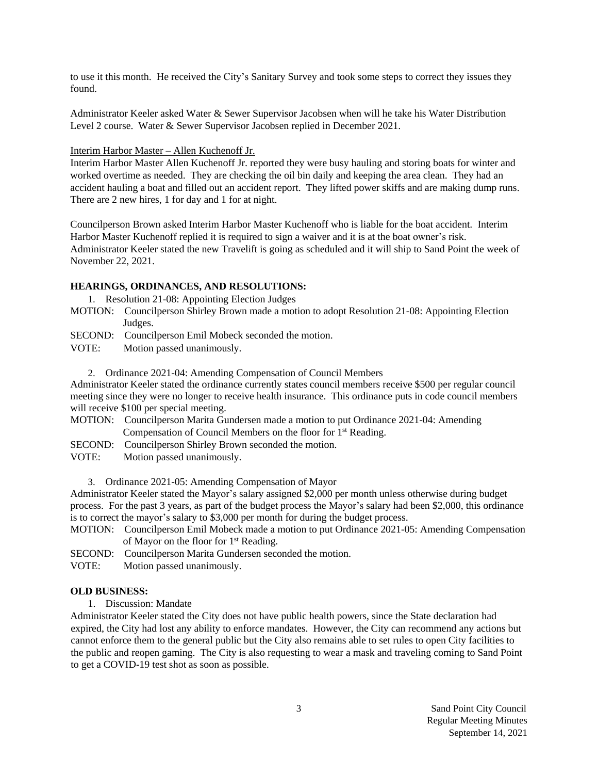to use it this month. He received the City's Sanitary Survey and took some steps to correct they issues they found.

Administrator Keeler asked Water & Sewer Supervisor Jacobsen when will he take his Water Distribution Level 2 course. Water & Sewer Supervisor Jacobsen replied in December 2021.

#### Interim Harbor Master – Allen Kuchenoff Jr.

Interim Harbor Master Allen Kuchenoff Jr. reported they were busy hauling and storing boats for winter and worked overtime as needed. They are checking the oil bin daily and keeping the area clean. They had an accident hauling a boat and filled out an accident report. They lifted power skiffs and are making dump runs. There are 2 new hires, 1 for day and 1 for at night.

Councilperson Brown asked Interim Harbor Master Kuchenoff who is liable for the boat accident. Interim Harbor Master Kuchenoff replied it is required to sign a waiver and it is at the boat owner's risk. Administrator Keeler stated the new Travelift is going as scheduled and it will ship to Sand Point the week of November 22, 2021.

### **HEARINGS, ORDINANCES, AND RESOLUTIONS:**

- 1. Resolution 21-08: Appointing Election Judges
- MOTION: Councilperson Shirley Brown made a motion to adopt Resolution 21-08: Appointing Election Judges.

SECOND: Councilperson Emil Mobeck seconded the motion.

- VOTE: Motion passed unanimously.
	- 2. Ordinance 2021-04: Amending Compensation of Council Members

Administrator Keeler stated the ordinance currently states council members receive \$500 per regular council meeting since they were no longer to receive health insurance. This ordinance puts in code council members will receive \$100 per special meeting.

- MOTION: Councilperson Marita Gundersen made a motion to put Ordinance 2021-04: Amending Compensation of Council Members on the floor for 1<sup>st</sup> Reading.
- SECOND: Councilperson Shirley Brown seconded the motion.
- VOTE: Motion passed unanimously.

3. Ordinance 2021-05: Amending Compensation of Mayor

Administrator Keeler stated the Mayor's salary assigned \$2,000 per month unless otherwise during budget process. For the past 3 years, as part of the budget process the Mayor's salary had been \$2,000, this ordinance is to correct the mayor's salary to \$3,000 per month for during the budget process.

- MOTION: Councilperson Emil Mobeck made a motion to put Ordinance 2021-05: Amending Compensation of Mayor on the floor for 1<sup>st</sup> Reading.
- SECOND: Councilperson Marita Gundersen seconded the motion.
- VOTE: Motion passed unanimously.

#### **OLD BUSINESS:**

1. Discussion: Mandate

Administrator Keeler stated the City does not have public health powers, since the State declaration had expired, the City had lost any ability to enforce mandates. However, the City can recommend any actions but cannot enforce them to the general public but the City also remains able to set rules to open City facilities to the public and reopen gaming. The City is also requesting to wear a mask and traveling coming to Sand Point to get a COVID-19 test shot as soon as possible.